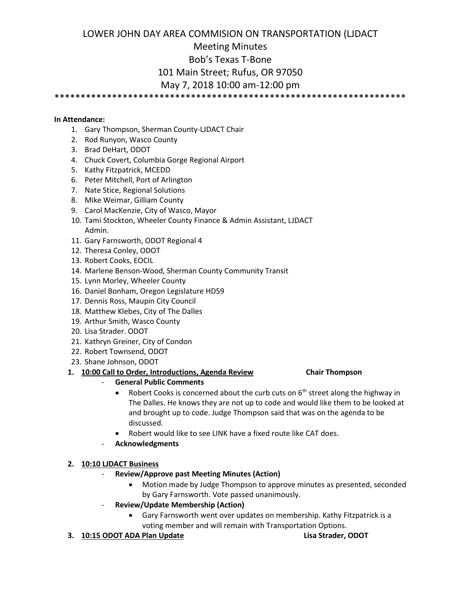# LOWER JOHN DAY AREA COMMISION ON TRANSPORTATION (LJDACT Meeting Minutes Bob's Texas T-Bone 101 Main Street; Rufus, OR 97050

# May 7, 2018 10:00 am-12:00 pm

\*\*\*\*\*\*\*\*\*\*\*\*\*\*\*\*\*\*\*\*\*\*\*\*\*\*\*\*\*\*\*\*\*\*\*\*\*\*\*\*\*\*\*\*\*\*\*\*\*\*\*\*\*\*\*\*\*\*\*\*\*\*\*\*\*\*\*

#### **In Attendance:**

- 1. Gary Thompson, Sherman County-LJDACT Chair
- 2. Rod Runyon, Wasco County
- 3. Brad DeHart, ODOT
- 4. Chuck Covert, Columbia Gorge Regional Airport
- 5. Kathy Fitzpatrick, MCEDD
- 6. Peter Mitchell, Port of Arlington
- 7. Nate Stice, Regional Solutions
- 8. Mike Weimar, Gilliam County
- 9. Carol MacKenzie, City of Wasco, Mayor
- 10. Tami Stockton, Wheeler County Finance & Admin Assistant, LJDACT Admin.
- 11. Gary Farnsworth, ODOT Regional 4
- 12. Theresa Conley, ODOT
- 13. Robert Cooks, EOCIL
- 14. Marlene Benson-Wood, Sherman County Community Transit
- 15. Lynn Morley, Wheeler County
- 16. Daniel Bonham, Oregon Legislature HD59
- 17. Dennis Ross, Maupin City Council
- 18. Matthew Klebes, City of The Dalles
- 19. Arthur Smith, Wasco County
- 20. Lisa Strader. ODOT
- 21. Kathryn Greiner, City of Condon
- 22. Robert Townsend, ODOT
- 23. Shane Johnson, ODOT

# **1. 10:00 Call to Order, Introductions, Agenda Review Chair Thompson**

# - **General Public Comments**

- Robert Cooks is concerned about the curb cuts on  $6<sup>th</sup>$  street along the highway in The Dalles. He knows they are not up to code and would like them to be looked at and brought up to code. Judge Thompson said that was on the agenda to be discussed.
- Robert would like to see LINK have a fixed route like CAT does.
- **Acknowledgments**

# **2. 10:10 LJDACT Business**

- **Review/Approve past Meeting Minutes (Action)**
	- Motion made by Judge Thompson to approve minutes as presented, seconded by Gary Farnsworth. Vote passed unanimously.
- **Review/Update Membership (Action)**
	- Gary Farnsworth went over updates on membership. Kathy Fitzpatrick is a voting member and will remain with Transportation Options.
- **3. 10:15 ODOT ADA Plan Update Lisa Strader, ODOT**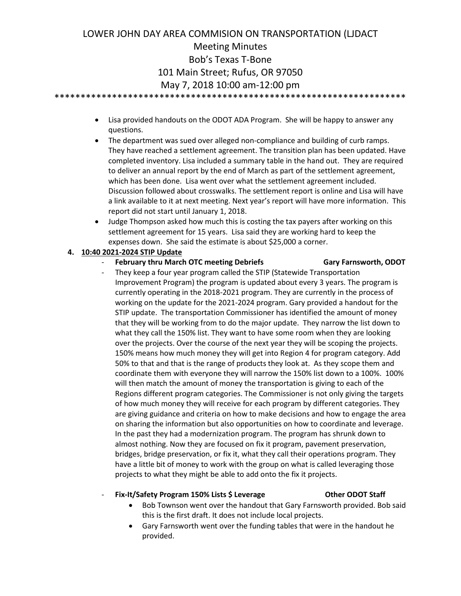# LOWER JOHN DAY AREA COMMISION ON TRANSPORTATION (LJDACT Meeting Minutes Bob's Texas T-Bone 101 Main Street; Rufus, OR 97050 May 7, 2018 10:00 am-12:00 pm \*\*\*\*\*\*\*\*\*\*\*\*\*\*\*\*\*\*\*\*\*\*\*\*\*\*\*\*\*\*\*\*\*\*\*\*\*\*\*\*\*\*\*\*\*\*\*\*\*\*\*\*\*\*\*\*\*\*\*\*\*\*\*\*\*\*\*

- Lisa provided handouts on the ODOT ADA Program. She will be happy to answer any questions.
- The department was sued over alleged non-compliance and building of curb ramps. They have reached a settlement agreement. The transition plan has been updated. Have completed inventory. Lisa included a summary table in the hand out. They are required to deliver an annual report by the end of March as part of the settlement agreement, which has been done. Lisa went over what the settlement agreement included. Discussion followed about crosswalks. The settlement report is online and Lisa will have a link available to it at next meeting. Next year's report will have more information. This report did not start until January 1, 2018.
- Judge Thompson asked how much this is costing the tax payers after working on this settlement agreement for 15 years. Lisa said they are working hard to keep the expenses down. She said the estimate is about \$25,000 a corner.

### **4. 10:40 2021-2024 STIP Update**

- **February thru March OTC meeting Debriefs Gary Farnsworth, ODOT**
	- They keep a four year program called the STIP (Statewide Transportation Improvement Program) the program is updated about every 3 years. The program is currently operating in the 2018-2021 program. They are currently in the process of working on the update for the 2021-2024 program. Gary provided a handout for the STIP update. The transportation Commissioner has identified the amount of money that they will be working from to do the major update. They narrow the list down to what they call the 150% list. They want to have some room when they are looking over the projects. Over the course of the next year they will be scoping the projects. 150% means how much money they will get into Region 4 for program category. Add 50% to that and that is the range of products they look at. As they scope them and coordinate them with everyone they will narrow the 150% list down to a 100%. 100% will then match the amount of money the transportation is giving to each of the Regions different program categories. The Commissioner is not only giving the targets of how much money they will receive for each program by different categories. They are giving guidance and criteria on how to make decisions and how to engage the area on sharing the information but also opportunities on how to coordinate and leverage. In the past they had a modernization program. The program has shrunk down to almost nothing. Now they are focused on fix it program, pavement preservation, bridges, bridge preservation, or fix it, what they call their operations program. They have a little bit of money to work with the group on what is called leveraging those projects to what they might be able to add onto the fix it projects.

### Fix-It/Safety Program 150% Lists \$ Leverage Other ODOT Staff

- Bob Townson went over the handout that Gary Farnsworth provided. Bob said this is the first draft. It does not include local projects.
- Gary Farnsworth went over the funding tables that were in the handout he provided.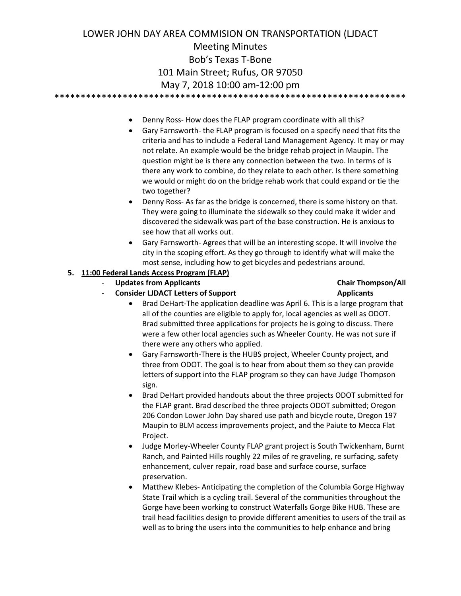# LOWER JOHN DAY AREA COMMISION ON TRANSPORTATION (LJDACT Meeting Minutes Bob's Texas T-Bone 101 Main Street; Rufus, OR 97050 May 7, 2018 10:00 am-12:00 pm \*\*\*\*\*\*\*\*\*\*\*\*\*\*\*\*\*\*\*\*\*\*\*\*\*\*\*\*\*\*\*\*\*\*\*\*\*\*\*\*\*\*\*\*\*\*\*\*\*\*\*\*\*\*\*\*\*\*\*\*\*\*\*\*\*\*\*

- Denny Ross- How does the FLAP program coordinate with all this?
- Gary Farnsworth- the FLAP program is focused on a specify need that fits the criteria and has to include a Federal Land Management Agency. It may or may not relate. An example would be the bridge rehab project in Maupin. The question might be is there any connection between the two. In terms of is there any work to combine, do they relate to each other. Is there something we would or might do on the bridge rehab work that could expand or tie the two together?
- Denny Ross- As far as the bridge is concerned, there is some history on that. They were going to illuminate the sidewalk so they could make it wider and discovered the sidewalk was part of the base construction. He is anxious to see how that all works out.
- Gary Farnsworth- Agrees that will be an interesting scope. It will involve the city in the scoping effort. As they go through to identify what will make the most sense, including how to get bicycles and pedestrians around.
- **5. 11:00 Federal Lands Access Program (FLAP)** 
	- **Updates from Applicants Chair Thompson/All**
		-
		- Consider LJDACT Letters of Support **Applicants** • Brad DeHart-The application deadline was April 6. This is a large program that all of the counties are eligible to apply for, local agencies as well as ODOT. Brad submitted three applications for projects he is going to discuss. There were a few other local agencies such as Wheeler County. He was not sure if

there were any others who applied.

- Gary Farnsworth-There is the HUBS project, Wheeler County project, and three from ODOT. The goal is to hear from about them so they can provide letters of support into the FLAP program so they can have Judge Thompson sign.
- Brad DeHart provided handouts about the three projects ODOT submitted for the FLAP grant. Brad described the three projects ODOT submitted; Oregon 206 Condon Lower John Day shared use path and bicycle route, Oregon 197 Maupin to BLM access improvements project, and the Paiute to Mecca Flat Project.
- Judge Morley-Wheeler County FLAP grant project is South Twickenham, Burnt Ranch, and Painted Hills roughly 22 miles of re graveling, re surfacing, safety enhancement, culver repair, road base and surface course, surface preservation.
- Matthew Klebes- Anticipating the completion of the Columbia Gorge Highway State Trail which is a cycling trail. Several of the communities throughout the Gorge have been working to construct Waterfalls Gorge Bike HUB. These are trail head facilities design to provide different amenities to users of the trail as well as to bring the users into the communities to help enhance and bring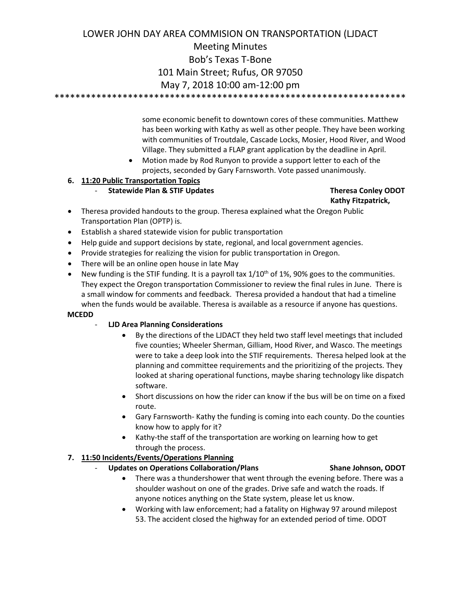# LOWER JOHN DAY AREA COMMISION ON TRANSPORTATION (LJDACT Meeting Minutes Bob's Texas T-Bone 101 Main Street; Rufus, OR 97050 May 7, 2018 10:00 am-12:00 pm \*\*\*\*\*\*\*\*\*\*\*\*\*\*\*\*\*\*\*\*\*\*\*\*\*\*\*\*\*\*\*\*\*\*\*\*\*\*\*\*\*\*\*\*\*\*\*\*\*\*\*\*\*\*\*\*\*\*\*\*\*\*\*\*\*\*\*

some economic benefit to downtown cores of these communities. Matthew has been working with Kathy as well as other people. They have been working with communities of Troutdale, Cascade Locks, Mosier, Hood River, and Wood Village. They submitted a FLAP grant application by the deadline in April.

• Motion made by Rod Runyon to provide a support letter to each of the projects, seconded by Gary Farnsworth. Vote passed unanimously.

# **6. 11:20 Public Transportation Topics**

- **Statewide Plan & STIF Updates Theresa Conley ODOT**

# **Kathy Fitzpatrick,**

- Theresa provided handouts to the group. Theresa explained what the Oregon Public Transportation Plan (OPTP) is.
- Establish a shared statewide vision for public transportation
- Help guide and support decisions by state, regional, and local government agencies.
- Provide strategies for realizing the vision for public transportation in Oregon.
- There will be an online open house in late May
- New funding is the STIF funding. It is a payroll tax  $1/10^{th}$  of 1%, 90% goes to the communities. They expect the Oregon transportation Commissioner to review the final rules in June. There is a small window for comments and feedback. Theresa provided a handout that had a timeline when the funds would be available. Theresa is available as a resource if anyone has questions.

### **MCEDD**

- **LJD Area Planning Considerations**
	- By the directions of the LJDACT they held two staff level meetings that included five counties; Wheeler Sherman, Gilliam, Hood River, and Wasco. The meetings were to take a deep look into the STIF requirements. Theresa helped look at the planning and committee requirements and the prioritizing of the projects. They looked at sharing operational functions, maybe sharing technology like dispatch software.
	- Short discussions on how the rider can know if the bus will be on time on a fixed route.
	- Gary Farnsworth- Kathy the funding is coming into each county. Do the counties know how to apply for it?
	- Kathy-the staff of the transportation are working on learning how to get through the process.

# **7. 11:50 Incidents/Events/Operations Planning**

- **Updates on Operations Collaboration/Plans Shane Johnson, ODOT**
	- There was a thundershower that went through the evening before. There was a shoulder washout on one of the grades. Drive safe and watch the roads. If anyone notices anything on the State system, please let us know.
	- Working with law enforcement; had a fatality on Highway 97 around milepost 53. The accident closed the highway for an extended period of time. ODOT